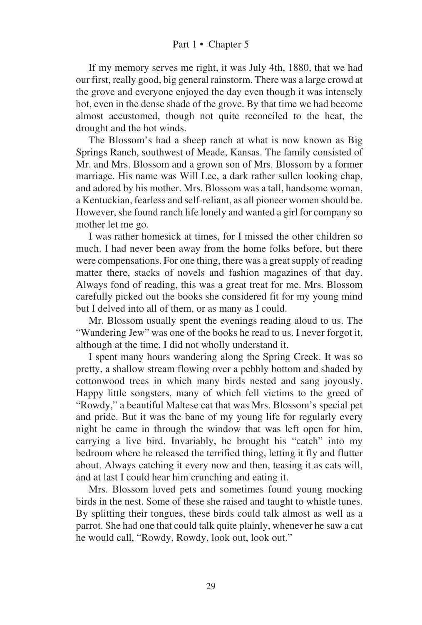If my memory serves me right, it was July 4th, 1880, that we had our first, really good, big general rainstorm. There was a large crowd at the grove and everyone enjoyed the day even though it was intensely hot, even in the dense shade of the grove. By that time we had become almost accustomed, though not quite reconciled to the heat, the drought and the hot winds.

The Blossom's had a sheep ranch at what is now known as Big Springs Ranch, southwest of Meade, Kansas. The family consisted of Mr. and Mrs. Blossom and a grown son of Mrs. Blossom by a former marriage. His name was Will Lee, a dark rather sullen looking chap, and adored by his mother. Mrs. Blossom was a tall, handsome woman, a Kentuckian, fearless and self-reliant, as all pioneer women should be. However, she found ranch life lonely and wanted a girl for company so mother let me go.

I was rather homesick at times, for I missed the other children so much. I had never been away from the home folks before, but there were compensations. For one thing, there was a great supply of reading matter there, stacks of novels and fashion magazines of that day. Always fond of reading, this was a great treat for me. Mrs. Blossom carefully picked out the books she considered fit for my young mind but I delved into all of them, or as many as I could.

Mr. Blossom usually spent the evenings reading aloud to us. The "Wandering Jew" was one of the books he read to us. I never forgot it, although at the time, I did not wholly understand it.

I spent many hours wandering along the Spring Creek. It was so pretty, a shallow stream flowing over a pebbly bottom and shaded by cottonwood trees in which many birds nested and sang joyously. Happy little songsters, many of which fell victims to the greed of "Rowdy," a beautiful Maltese cat that was Mrs. Blossom's special pet and pride. But it was the bane of my young life for regularly every night he came in through the window that was left open for him, carrying a live bird. Invariably, he brought his "catch" into my bedroom where he released the terrified thing, letting it fly and flutter about. Always catching it every now and then, teasing it as cats will, and at last I could hear him crunching and eating it.

Mrs. Blossom loved pets and sometimes found young mocking birds in the nest. Some of these she raised and taught to whistle tunes. By splitting their tongues, these birds could talk almost as well as a parrot. She had one that could talk quite plainly, whenever he saw a cat he would call, "Rowdy, Rowdy, look out, look out."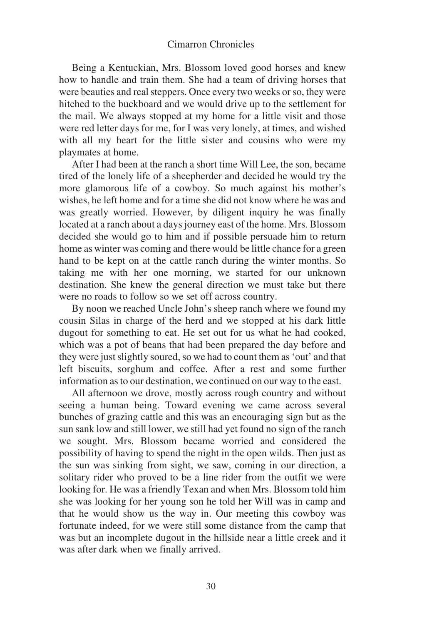## Cimarron Chronicles

Being a Kentuckian, Mrs. Blossom loved good horses and knew how to handle and train them. She had a team of driving horses that were beauties and real steppers. Once every two weeks or so, they were hitched to the buckboard and we would drive up to the settlement for the mail. We always stopped at my home for a little visit and those were red letter days for me, for I was very lonely, at times, and wished with all my heart for the little sister and cousins who were my playmates at home.

After I had been at the ranch a short time Will Lee, the son, became tired of the lonely life of a sheepherder and decided he would try the more glamorous life of a cowboy. So much against his mother's wishes, he left home and for a time she did not know where he was and was greatly worried. However, by diligent inquiry he was finally located at a ranch about a days journey east of the home. Mrs. Blossom decided she would go to him and if possible persuade him to return home as winter was coming and there would be little chance for a green hand to be kept on at the cattle ranch during the winter months. So taking me with her one morning, we started for our unknown destination. She knew the general direction we must take but there were no roads to follow so we set off across country.

By noon we reached Uncle John's sheep ranch where we found my cousin Silas in charge of the herd and we stopped at his dark little dugout for something to eat. He set out for us what he had cooked, which was a pot of beans that had been prepared the day before and they were just slightly soured, so we had to count them as 'out' and that left biscuits, sorghum and coffee. After a rest and some further information as to our destination, we continued on our way to the east.

All afternoon we drove, mostly across rough country and without seeing a human being. Toward evening we came across several bunches of grazing cattle and this was an encouraging sign but as the sun sank low and still lower, we still had yet found no sign of the ranch we sought. Mrs. Blossom became worried and considered the possibility of having to spend the night in the open wilds. Then just as the sun was sinking from sight, we saw, coming in our direction, a solitary rider who proved to be a line rider from the outfit we were looking for. He was a friendly Texan and when Mrs. Blossom told him she was looking for her young son he told her Will was in camp and that he would show us the way in. Our meeting this cowboy was fortunate indeed, for we were still some distance from the camp that was but an incomplete dugout in the hillside near a little creek and it was after dark when we finally arrived.